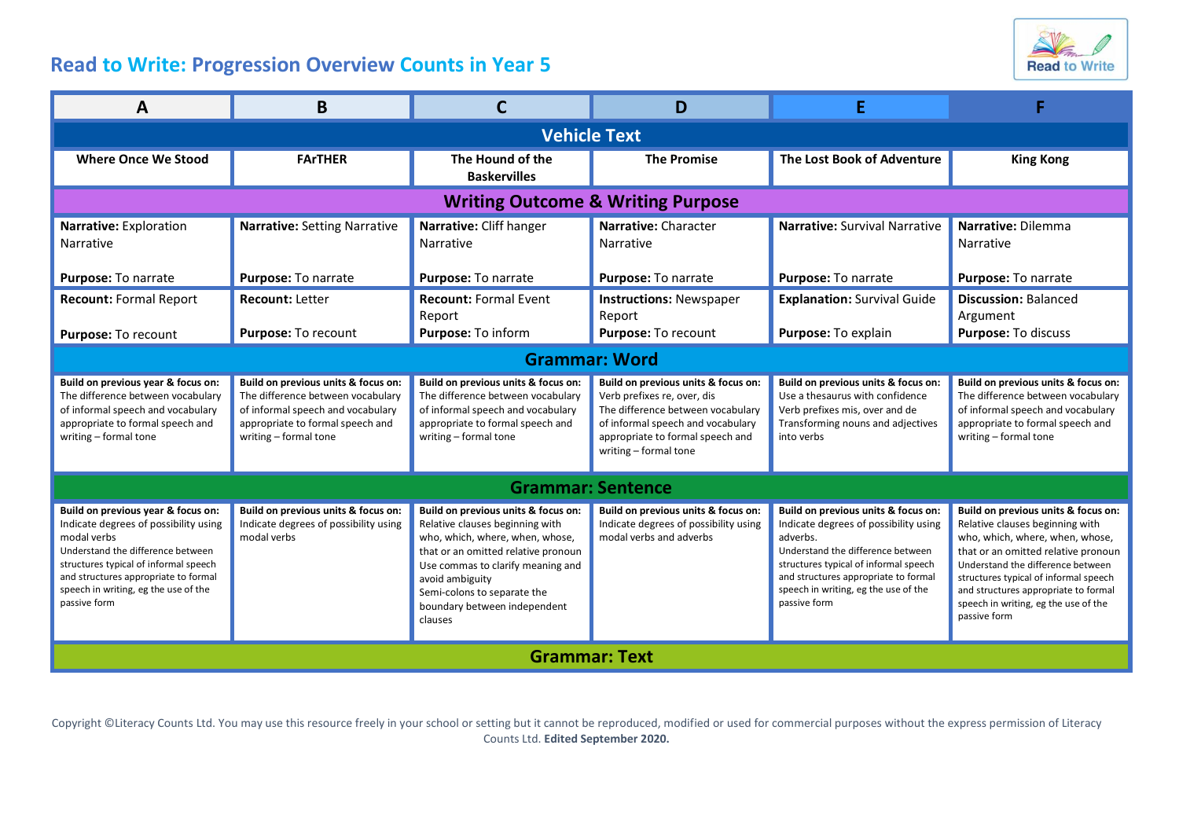## **Read to Write: Progression Overview Counts in Year 5**



| A                                                                                                                                                                                                                                                                        | B                                                                                                                                                                          |                                                                                                                                                                                                                                                                                    | D                                                                                                                                                                                                         |                                                                                                                                                                                                                                                                        | F                                                                                                                                                                                                                                                                                                                              |  |  |  |
|--------------------------------------------------------------------------------------------------------------------------------------------------------------------------------------------------------------------------------------------------------------------------|----------------------------------------------------------------------------------------------------------------------------------------------------------------------------|------------------------------------------------------------------------------------------------------------------------------------------------------------------------------------------------------------------------------------------------------------------------------------|-----------------------------------------------------------------------------------------------------------------------------------------------------------------------------------------------------------|------------------------------------------------------------------------------------------------------------------------------------------------------------------------------------------------------------------------------------------------------------------------|--------------------------------------------------------------------------------------------------------------------------------------------------------------------------------------------------------------------------------------------------------------------------------------------------------------------------------|--|--|--|
| <b>Vehicle Text</b>                                                                                                                                                                                                                                                      |                                                                                                                                                                            |                                                                                                                                                                                                                                                                                    |                                                                                                                                                                                                           |                                                                                                                                                                                                                                                                        |                                                                                                                                                                                                                                                                                                                                |  |  |  |
| <b>Where Once We Stood</b>                                                                                                                                                                                                                                               | <b>FArTHER</b>                                                                                                                                                             | The Hound of the<br><b>Baskervilles</b>                                                                                                                                                                                                                                            | <b>The Promise</b>                                                                                                                                                                                        | The Lost Book of Adventure                                                                                                                                                                                                                                             | <b>King Kong</b>                                                                                                                                                                                                                                                                                                               |  |  |  |
| <b>Writing Outcome &amp; Writing Purpose</b>                                                                                                                                                                                                                             |                                                                                                                                                                            |                                                                                                                                                                                                                                                                                    |                                                                                                                                                                                                           |                                                                                                                                                                                                                                                                        |                                                                                                                                                                                                                                                                                                                                |  |  |  |
| Narrative: Exploration<br>Narrative                                                                                                                                                                                                                                      | Narrative: Setting Narrative                                                                                                                                               | Narrative: Cliff hanger<br>Narrative                                                                                                                                                                                                                                               | Narrative: Character<br><b>Narrative</b>                                                                                                                                                                  | Narrative: Survival Narrative                                                                                                                                                                                                                                          | Narrative: Dilemma<br>Narrative                                                                                                                                                                                                                                                                                                |  |  |  |
| Purpose: To narrate                                                                                                                                                                                                                                                      | Purpose: To narrate                                                                                                                                                        | Purpose: To narrate                                                                                                                                                                                                                                                                | Purpose: To narrate                                                                                                                                                                                       | Purpose: To narrate                                                                                                                                                                                                                                                    | Purpose: To narrate                                                                                                                                                                                                                                                                                                            |  |  |  |
| <b>Recount: Formal Report</b>                                                                                                                                                                                                                                            | <b>Recount: Letter</b>                                                                                                                                                     | <b>Recount: Formal Event</b><br>Report                                                                                                                                                                                                                                             | <b>Instructions: Newspaper</b><br>Report                                                                                                                                                                  | <b>Explanation: Survival Guide</b>                                                                                                                                                                                                                                     | <b>Discussion: Balanced</b><br>Argument                                                                                                                                                                                                                                                                                        |  |  |  |
| Purpose: To recount                                                                                                                                                                                                                                                      | Purpose: To recount                                                                                                                                                        | Purpose: To inform                                                                                                                                                                                                                                                                 | Purpose: To recount                                                                                                                                                                                       | Purpose: To explain                                                                                                                                                                                                                                                    | Purpose: To discuss                                                                                                                                                                                                                                                                                                            |  |  |  |
| <b>Grammar: Word</b>                                                                                                                                                                                                                                                     |                                                                                                                                                                            |                                                                                                                                                                                                                                                                                    |                                                                                                                                                                                                           |                                                                                                                                                                                                                                                                        |                                                                                                                                                                                                                                                                                                                                |  |  |  |
| Build on previous year & focus on:<br>The difference between vocabulary<br>of informal speech and vocabulary<br>appropriate to formal speech and<br>writing - formal tone                                                                                                | Build on previous units & focus on:<br>The difference between vocabulary<br>of informal speech and vocabulary<br>appropriate to formal speech and<br>writing - formal tone | Build on previous units & focus on:<br>The difference between vocabulary<br>of informal speech and vocabulary<br>appropriate to formal speech and<br>writing - formal tone                                                                                                         | Build on previous units & focus on:<br>Verb prefixes re, over, dis<br>The difference between vocabulary<br>of informal speech and vocabulary<br>appropriate to formal speech and<br>writing - formal tone | Build on previous units & focus on:<br>Use a thesaurus with confidence<br>Verb prefixes mis, over and de<br>Transforming nouns and adjectives<br>into verbs                                                                                                            | Build on previous units & focus on:<br>The difference between vocabulary<br>of informal speech and vocabulary<br>appropriate to formal speech and<br>writing - formal tone                                                                                                                                                     |  |  |  |
| <b>Grammar: Sentence</b>                                                                                                                                                                                                                                                 |                                                                                                                                                                            |                                                                                                                                                                                                                                                                                    |                                                                                                                                                                                                           |                                                                                                                                                                                                                                                                        |                                                                                                                                                                                                                                                                                                                                |  |  |  |
| Build on previous year & focus on:<br>Indicate degrees of possibility using<br>modal verbs<br>Understand the difference between<br>structures typical of informal speech<br>and structures appropriate to formal<br>speech in writing, eg the use of the<br>passive form | Build on previous units & focus on:<br>Indicate degrees of possibility using<br>modal verbs                                                                                | Build on previous units & focus on:<br>Relative clauses beginning with<br>who, which, where, when, whose,<br>that or an omitted relative pronoun<br>Use commas to clarify meaning and<br>avoid ambiguity<br>Semi-colons to separate the<br>boundary between independent<br>clauses | Build on previous units & focus on:<br>Indicate degrees of possibility using<br>modal verbs and adverbs                                                                                                   | Build on previous units & focus on:<br>Indicate degrees of possibility using<br>adverbs.<br>Understand the difference between<br>structures typical of informal speech<br>and structures appropriate to formal<br>speech in writing, eg the use of the<br>passive form | Build on previous units & focus on:<br>Relative clauses beginning with<br>who, which, where, when, whose,<br>that or an omitted relative pronoun<br>Understand the difference between<br>structures typical of informal speech<br>and structures appropriate to formal<br>speech in writing, eg the use of the<br>passive form |  |  |  |
| <b>Grammar: Text</b>                                                                                                                                                                                                                                                     |                                                                                                                                                                            |                                                                                                                                                                                                                                                                                    |                                                                                                                                                                                                           |                                                                                                                                                                                                                                                                        |                                                                                                                                                                                                                                                                                                                                |  |  |  |

Copyright ©Literacy Counts Ltd. You may use this resource freely in your school or setting but it cannot be reproduced, modified or used for commercial purposes without the express permission of Literacy Counts Ltd. **Edited September 2020.**